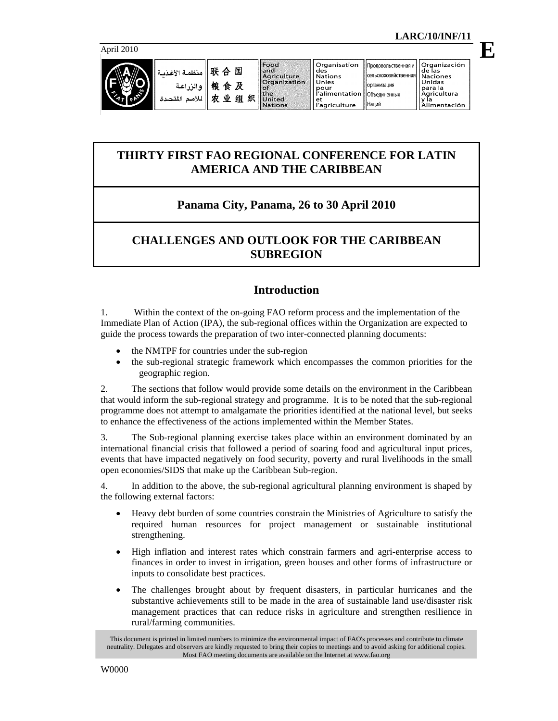**E**

### April 2010



| 联    منظمة الأغذ <u>ي</u><br> 戦    والزراعة<br>   للأمم المتحد |  |
|----------------------------------------------------------------|--|
|                                                                |  |

| 囿<br>A       | Organisation<br>Food<br>and<br>des<br>Agriculture<br><b>Nations</b>                                |  |
|--------------|----------------------------------------------------------------------------------------------------|--|
| 食<br>织!<br>组 | Organization<br>Unies<br>pour<br>l'alimentatio<br>the<br>United<br>l'agriculture<br><b>Nations</b> |  |
| 业            |                                                                                                    |  |

 $\mathbf{L}_{\mathbf{A}\mathbf{A}}$ 

# **THIRTY FIRST FAO REGIONAL CONFERENCE FOR LATIN AMERICA AND THE CARIBBEAN**

# **Panama City, Panama, 26 to 30 April 2010**

# **CHALLENGES AND OUTLOOK FOR THE CARIBBEAN SUBREGION**

# **Introduction**

1. Within the context of the on-going FAO reform process and the implementation of the Immediate Plan of Action (IPA), the sub-regional offices within the Organization are expected to guide the process towards the preparation of two inter-connected planning documents:

- the NMTPF for countries under the sub-region
- the sub-regional strategic framework which encompasses the common priorities for the geographic region.

2. The sections that follow would provide some details on the environment in the Caribbean that would inform the sub-regional strategy and programme. It is to be noted that the sub-regional programme does not attempt to amalgamate the priorities identified at the national level, but seeks to enhance the effectiveness of the actions implemented within the Member States.

3. The Sub-regional planning exercise takes place within an environment dominated by an international financial crisis that followed a period of soaring food and agricultural input prices, events that have impacted negatively on food security, poverty and rural livelihoods in the small open economies/SIDS that make up the Caribbean Sub-region.

4. In addition to the above, the sub-regional agricultural planning environment is shaped by the following external factors:

- Heavy debt burden of some countries constrain the Ministries of Agriculture to satisfy the required human resources for project management or sustainable institutional strengthening.
- High inflation and interest rates which constrain farmers and agri-enterprise access to finances in order to invest in irrigation, green houses and other forms of infrastructure or inputs to consolidate best practices.
- The challenges brought about by frequent disasters, in particular hurricanes and the substantive achievements still to be made in the area of sustainable land use/disaster risk management practices that can reduce risks in agriculture and strengthen resilience in rural/farming communities.

This document is printed in limited numbers to minimize the environmental impact of FAO's processes and contribute to climate neutrality. Delegates and observers are kindly requested to bring their copies to meetings and to avoid asking for additional copies. Most FAO meeting documents are available on the Internet at www.fao.org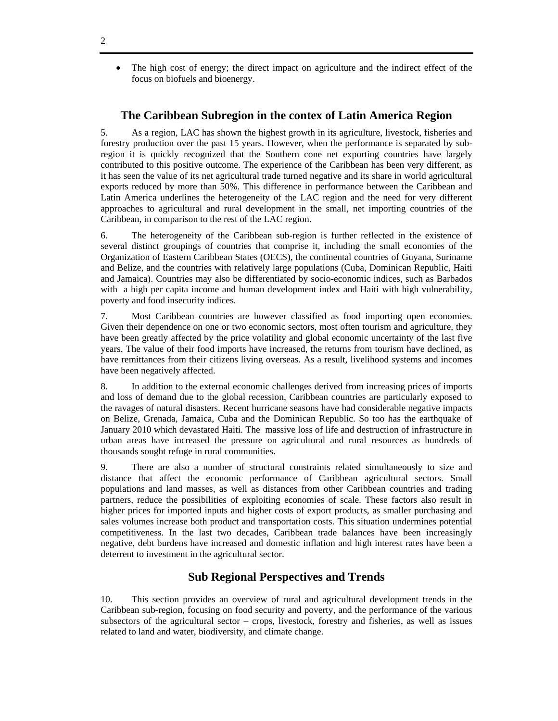• The high cost of energy; the direct impact on agriculture and the indirect effect of the focus on biofuels and bioenergy.

# **The Caribbean Subregion in the contex of Latin America Region**

5. As a region, LAC has shown the highest growth in its agriculture, livestock, fisheries and forestry production over the past 15 years. However, when the performance is separated by subregion it is quickly recognized that the Southern cone net exporting countries have largely contributed to this positive outcome. The experience of the Caribbean has been very different, as it has seen the value of its net agricultural trade turned negative and its share in world agricultural exports reduced by more than 50%. This difference in performance between the Caribbean and Latin America underlines the heterogeneity of the LAC region and the need for very different approaches to agricultural and rural development in the small, net importing countries of the Caribbean, in comparison to the rest of the LAC region.

6. The heterogeneity of the Caribbean sub-region is further reflected in the existence of several distinct groupings of countries that comprise it, including the small economies of the Organization of Eastern Caribbean States (OECS), the continental countries of Guyana, Suriname and Belize, and the countries with relatively large populations (Cuba, Dominican Republic, Haiti and Jamaica). Countries may also be differentiated by socio-economic indices, such as Barbados with a high per capita income and human development index and Haiti with high vulnerability, poverty and food insecurity indices.

7. Most Caribbean countries are however classified as food importing open economies. Given their dependence on one or two economic sectors, most often tourism and agriculture, they have been greatly affected by the price volatility and global economic uncertainty of the last five years. The value of their food imports have increased, the returns from tourism have declined, as have remittances from their citizens living overseas. As a result, livelihood systems and incomes have been negatively affected.

8. In addition to the external economic challenges derived from increasing prices of imports and loss of demand due to the global recession, Caribbean countries are particularly exposed to the ravages of natural disasters. Recent hurricane seasons have had considerable negative impacts on Belize, Grenada, Jamaica, Cuba and the Dominican Republic. So too has the earthquake of January 2010 which devastated Haiti. The massive loss of life and destruction of infrastructure in urban areas have increased the pressure on agricultural and rural resources as hundreds of thousands sought refuge in rural communities.

9. There are also a number of structural constraints related simultaneously to size and distance that affect the economic performance of Caribbean agricultural sectors. Small populations and land masses, as well as distances from other Caribbean countries and trading partners, reduce the possibilities of exploiting economies of scale. These factors also result in higher prices for imported inputs and higher costs of export products, as smaller purchasing and sales volumes increase both product and transportation costs. This situation undermines potential competitiveness. In the last two decades, Caribbean trade balances have been increasingly negative, debt burdens have increased and domestic inflation and high interest rates have been a deterrent to investment in the agricultural sector.

# **Sub Regional Perspectives and Trends**

10. This section provides an overview of rural and agricultural development trends in the Caribbean sub-region, focusing on food security and poverty, and the performance of the various subsectors of the agricultural sector – crops, livestock, forestry and fisheries, as well as issues related to land and water, biodiversity, and climate change.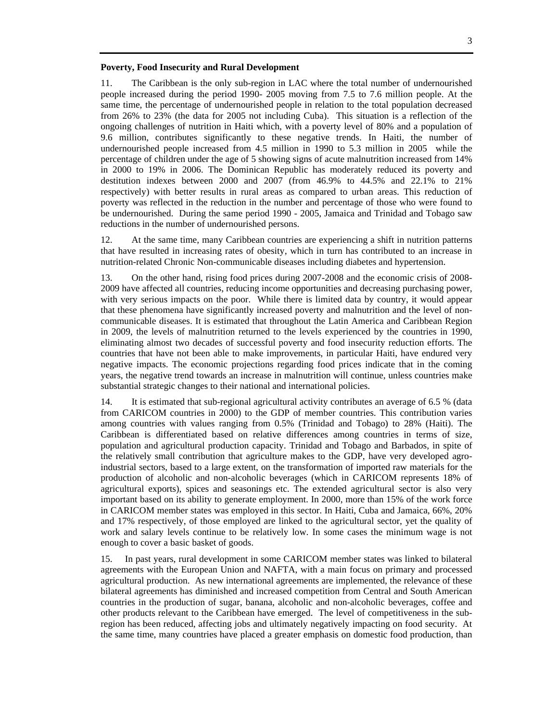#### **Poverty, Food Insecurity and Rural Development**

11. The Caribbean is the only sub-region in LAC where the total number of undernourished people increased during the period 1990- 2005 moving from 7.5 to 7.6 million people. At the same time, the percentage of undernourished people in relation to the total population decreased from 26% to 23% (the data for 2005 not including Cuba). This situation is a reflection of the ongoing challenges of nutrition in Haiti which, with a poverty level of 80% and a population of 9.6 million, contributes significantly to these negative trends. In Haiti, the number of undernourished people increased from 4.5 million in 1990 to 5.3 million in 2005 while the percentage of children under the age of 5 showing signs of acute malnutrition increased from 14% in 2000 to 19% in 2006. The Dominican Republic has moderately reduced its poverty and destitution indexes between 2000 and 2007 (from 46.9% to 44.5% and 22.1% to 21% respectively) with better results in rural areas as compared to urban areas. This reduction of poverty was reflected in the reduction in the number and percentage of those who were found to be undernourished. During the same period 1990 - 2005, Jamaica and Trinidad and Tobago saw reductions in the number of undernourished persons.

12. At the same time, many Caribbean countries are experiencing a shift in nutrition patterns that have resulted in increasing rates of obesity, which in turn has contributed to an increase in nutrition-related Chronic Non-communicable diseases including diabetes and hypertension.

13. On the other hand, rising food prices during 2007-2008 and the economic crisis of 2008- 2009 have affected all countries, reducing income opportunities and decreasing purchasing power, with very serious impacts on the poor. While there is limited data by country, it would appear that these phenomena have significantly increased poverty and malnutrition and the level of noncommunicable diseases. It is estimated that throughout the Latin America and Caribbean Region in 2009, the levels of malnutrition returned to the levels experienced by the countries in 1990, eliminating almost two decades of successful poverty and food insecurity reduction efforts. The countries that have not been able to make improvements, in particular Haiti, have endured very negative impacts. The economic projections regarding food prices indicate that in the coming years, the negative trend towards an increase in malnutrition will continue, unless countries make substantial strategic changes to their national and international policies.

14. It is estimated that sub-regional agricultural activity contributes an average of 6.5 % (data from CARICOM countries in 2000) to the GDP of member countries. This contribution varies among countries with values ranging from 0.5% (Trinidad and Tobago) to 28% (Haiti). The Caribbean is differentiated based on relative differences among countries in terms of size, population and agricultural production capacity. Trinidad and Tobago and Barbados, in spite of the relatively small contribution that agriculture makes to the GDP, have very developed agroindustrial sectors, based to a large extent, on the transformation of imported raw materials for the production of alcoholic and non-alcoholic beverages (which in CARICOM represents 18% of agricultural exports), spices and seasonings etc. The extended agricultural sector is also very important based on its ability to generate employment. In 2000, more than 15% of the work force in CARICOM member states was employed in this sector. In Haiti, Cuba and Jamaica, 66%, 20% and 17% respectively, of those employed are linked to the agricultural sector, yet the quality of work and salary levels continue to be relatively low. In some cases the minimum wage is not enough to cover a basic basket of goods.

15. In past years, rural development in some CARICOM member states was linked to bilateral agreements with the European Union and NAFTA, with a main focus on primary and processed agricultural production. As new international agreements are implemented, the relevance of these bilateral agreements has diminished and increased competition from Central and South American countries in the production of sugar, banana, alcoholic and non-alcoholic beverages, coffee and other products relevant to the Caribbean have emerged. The level of competitiveness in the subregion has been reduced, affecting jobs and ultimately negatively impacting on food security. At the same time, many countries have placed a greater emphasis on domestic food production, than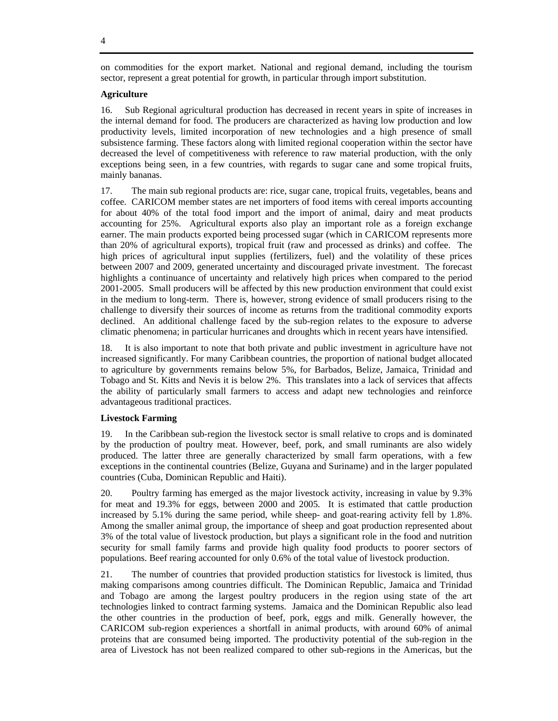on commodities for the export market. National and regional demand, including the tourism sector, represent a great potential for growth, in particular through import substitution.

## **Agriculture**

16. Sub Regional agricultural production has decreased in recent years in spite of increases in the internal demand for food. The producers are characterized as having low production and low productivity levels, limited incorporation of new technologies and a high presence of small subsistence farming. These factors along with limited regional cooperation within the sector have decreased the level of competitiveness with reference to raw material production, with the only exceptions being seen, in a few countries, with regards to sugar cane and some tropical fruits, mainly bananas.

17. The main sub regional products are: rice, sugar cane, tropical fruits, vegetables, beans and coffee. CARICOM member states are net importers of food items with cereal imports accounting for about 40% of the total food import and the import of animal, dairy and meat products accounting for 25%. Agricultural exports also play an important role as a foreign exchange earner. The main products exported being processed sugar (which in CARICOM represents more than 20% of agricultural exports), tropical fruit (raw and processed as drinks) and coffee. The high prices of agricultural input supplies (fertilizers, fuel) and the volatility of these prices between 2007 and 2009, generated uncertainty and discouraged private investment. The forecast highlights a continuance of uncertainty and relatively high prices when compared to the period 2001-2005. Small producers will be affected by this new production environment that could exist in the medium to long-term. There is, however, strong evidence of small producers rising to the challenge to diversify their sources of income as returns from the traditional commodity exports declined. An additional challenge faced by the sub-region relates to the exposure to adverse climatic phenomena; in particular hurricanes and droughts which in recent years have intensified.

18. It is also important to note that both private and public investment in agriculture have not increased significantly. For many Caribbean countries, the proportion of national budget allocated to agriculture by governments remains below 5%, for Barbados, Belize, Jamaica, Trinidad and Tobago and St. Kitts and Nevis it is below 2%. This translates into a lack of services that affects the ability of particularly small farmers to access and adapt new technologies and reinforce advantageous traditional practices.

## **Livestock Farming**

19. In the Caribbean sub-region the livestock sector is small relative to crops and is dominated by the production of poultry meat. However, beef, pork, and small ruminants are also widely produced. The latter three are generally characterized by small farm operations, with a few exceptions in the continental countries (Belize, Guyana and Suriname) and in the larger populated countries (Cuba, Dominican Republic and Haiti).

20. Poultry farming has emerged as the major livestock activity, increasing in value by 9.3% for meat and 19.3% for eggs, between 2000 and 2005. It is estimated that cattle production increased by 5.1% during the same period, while sheep- and goat-rearing activity fell by 1.8%. Among the smaller animal group, the importance of sheep and goat production represented about 3% of the total value of livestock production, but plays a significant role in the food and nutrition security for small family farms and provide high quality food products to poorer sectors of populations. Beef rearing accounted for only 0.6% of the total value of livestock production.

21. The number of countries that provided production statistics for livestock is limited, thus making comparisons among countries difficult. The Dominican Republic, Jamaica and Trinidad and Tobago are among the largest poultry producers in the region using state of the art technologies linked to contract farming systems. Jamaica and the Dominican Republic also lead the other countries in the production of beef, pork, eggs and milk. Generally however, the CARICOM sub-region experiences a shortfall in animal products, with around 60% of animal proteins that are consumed being imported. The productivity potential of the sub-region in the area of Livestock has not been realized compared to other sub-regions in the Americas, but the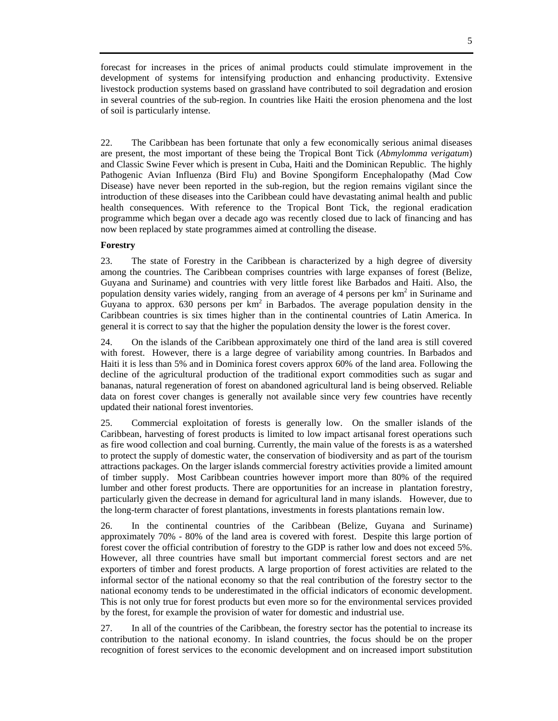forecast for increases in the prices of animal products could stimulate improvement in the development of systems for intensifying production and enhancing productivity. Extensive livestock production systems based on grassland have contributed to soil degradation and erosion in several countries of the sub-region. In countries like Haiti the erosion phenomena and the lost of soil is particularly intense.

22. The Caribbean has been fortunate that only a few economically serious animal diseases are present, the most important of these being the Tropical Bont Tick (*Abmylomma verigatum*) and Classic Swine Fever which is present in Cuba, Haiti and the Dominican Republic. The highly Pathogenic Avian Influenza (Bird Flu) and Bovine Spongiform Encephalopathy (Mad Cow Disease) have never been reported in the sub-region, but the region remains vigilant since the introduction of these diseases into the Caribbean could have devastating animal health and public health consequences. With reference to the Tropical Bont Tick, the regional eradication programme which began over a decade ago was recently closed due to lack of financing and has now been replaced by state programmes aimed at controlling the disease.

### **Forestry**

23. The state of Forestry in the Caribbean is characterized by a high degree of diversity among the countries. The Caribbean comprises countries with large expanses of forest (Belize, Guyana and Suriname) and countries with very little forest like Barbados and Haiti. Also, the population density varies widely, ranging from an average of 4 persons per  $km<sup>2</sup>$  in Suriname and Guyana to approx.  $630$  persons per  $km^2$  in Barbados. The average population density in the Caribbean countries is six times higher than in the continental countries of Latin America. In general it is correct to say that the higher the population density the lower is the forest cover.

24. On the islands of the Caribbean approximately one third of the land area is still covered with forest. However, there is a large degree of variability among countries. In Barbados and Haiti it is less than 5% and in Dominica forest covers approx 60% of the land area. Following the decline of the agricultural production of the traditional export commodities such as sugar and bananas, natural regeneration of forest on abandoned agricultural land is being observed. Reliable data on forest cover changes is generally not available since very few countries have recently updated their national forest inventories.

25. Commercial exploitation of forests is generally low. On the smaller islands of the Caribbean, harvesting of forest products is limited to low impact artisanal forest operations such as fire wood collection and coal burning. Currently, the main value of the forests is as a watershed to protect the supply of domestic water, the conservation of biodiversity and as part of the tourism attractions packages. On the larger islands commercial forestry activities provide a limited amount of timber supply. Most Caribbean countries however import more than 80% of the required lumber and other forest products. There are opportunities for an increase in plantation forestry, particularly given the decrease in demand for agricultural land in many islands. However, due to the long-term character of forest plantations, investments in forests plantations remain low.

26. In the continental countries of the Caribbean (Belize, Guyana and Suriname) approximately 70% - 80% of the land area is covered with forest. Despite this large portion of forest cover the official contribution of forestry to the GDP is rather low and does not exceed 5%. However, all three countries have small but important commercial forest sectors and are net exporters of timber and forest products. A large proportion of forest activities are related to the informal sector of the national economy so that the real contribution of the forestry sector to the national economy tends to be underestimated in the official indicators of economic development. This is not only true for forest products but even more so for the environmental services provided by the forest, for example the provision of water for domestic and industrial use.

27. In all of the countries of the Caribbean, the forestry sector has the potential to increase its contribution to the national economy. In island countries, the focus should be on the proper recognition of forest services to the economic development and on increased import substitution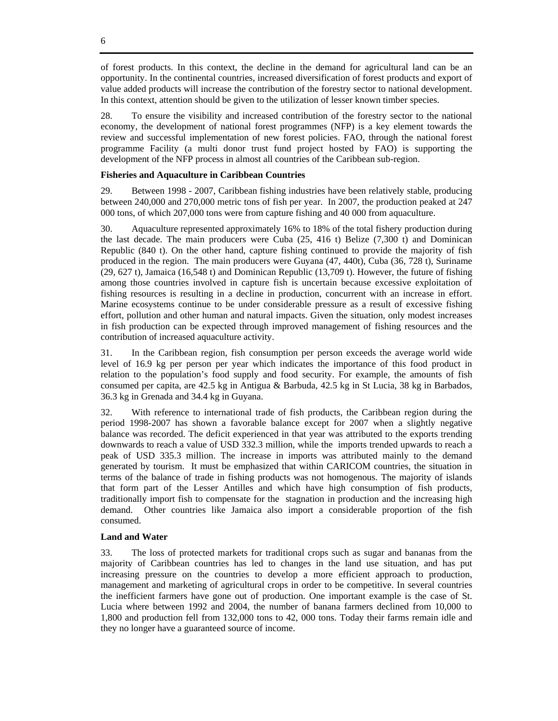of forest products. In this context, the decline in the demand for agricultural land can be an opportunity. In the continental countries, increased diversification of forest products and export of value added products will increase the contribution of the forestry sector to national development. In this context, attention should be given to the utilization of lesser known timber species.

28. To ensure the visibility and increased contribution of the forestry sector to the national economy, the development of national forest programmes (NFP) is a key element towards the review and successful implementation of new forest policies. FAO, through the national forest programme Facility (a multi donor trust fund project hosted by FAO) is supporting the development of the NFP process in almost all countries of the Caribbean sub-region.

### **Fisheries and Aquaculture in Caribbean Countries**

29. Between 1998 - 2007, Caribbean fishing industries have been relatively stable, producing between 240,000 and 270,000 metric tons of fish per year. In 2007, the production peaked at 247 000 tons, of which 207,000 tons were from capture fishing and 40 000 from aquaculture.

30. Aquaculture represented approximately 16% to 18% of the total fishery production during the last decade. The main producers were Cuba (25, 416 t) Belize (7,300 t) and Dominican Republic (840 t). On the other hand, capture fishing continued to provide the majority of fish produced in the region. The main producers were Guyana (47, 440t), Cuba (36, 728 t), Suriname (29, 627 t), Jamaica (16,548 t) and Dominican Republic (13,709 t). However, the future of fishing among those countries involved in capture fish is uncertain because excessive exploitation of fishing resources is resulting in a decline in production, concurrent with an increase in effort. Marine ecosystems continue to be under considerable pressure as a result of excessive fishing effort, pollution and other human and natural impacts. Given the situation, only modest increases in fish production can be expected through improved management of fishing resources and the contribution of increased aquaculture activity.

31. In the Caribbean region, fish consumption per person exceeds the average world wide level of 16.9 kg per person per year which indicates the importance of this food product in relation to the population's food supply and food security. For example, the amounts of fish consumed per capita, are 42.5 kg in Antigua & Barbuda, 42.5 kg in St Lucia, 38 kg in Barbados, 36.3 kg in Grenada and 34.4 kg in Guyana.

32. With reference to international trade of fish products, the Caribbean region during the period 1998-2007 has shown a favorable balance except for 2007 when a slightly negative balance was recorded. The deficit experienced in that year was attributed to the exports trending downwards to reach a value of USD 332.3 million, while the imports trended upwards to reach a peak of USD 335.3 million. The increase in imports was attributed mainly to the demand generated by tourism. It must be emphasized that within CARICOM countries, the situation in terms of the balance of trade in fishing products was not homogenous. The majority of islands that form part of the Lesser Antilles and which have high consumption of fish products, traditionally import fish to compensate for the stagnation in production and the increasing high demand. Other countries like Jamaica also import a considerable proportion of the fish consumed.

### **Land and Water**

33. The loss of protected markets for traditional crops such as sugar and bananas from the majority of Caribbean countries has led to changes in the land use situation, and has put increasing pressure on the countries to develop a more efficient approach to production, management and marketing of agricultural crops in order to be competitive. In several countries the inefficient farmers have gone out of production. One important example is the case of St. Lucia where between 1992 and 2004, the number of banana farmers declined from 10,000 to 1,800 and production fell from 132,000 tons to 42, 000 tons. Today their farms remain idle and they no longer have a guaranteed source of income.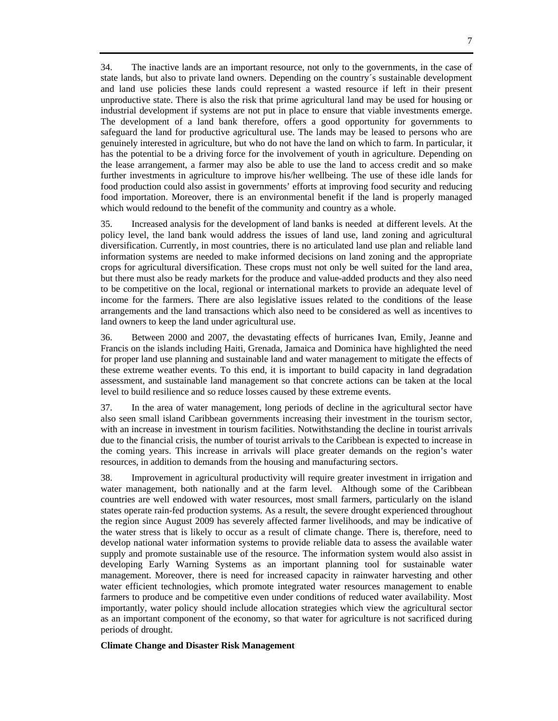34. The inactive lands are an important resource, not only to the governments, in the case of state lands, but also to private land owners. Depending on the country´s sustainable development and land use policies these lands could represent a wasted resource if left in their present unproductive state. There is also the risk that prime agricultural land may be used for housing or industrial development if systems are not put in place to ensure that viable investments emerge. The development of a land bank therefore, offers a good opportunity for governments to safeguard the land for productive agricultural use. The lands may be leased to persons who are genuinely interested in agriculture, but who do not have the land on which to farm. In particular, it has the potential to be a driving force for the involvement of youth in agriculture. Depending on the lease arrangement, a farmer may also be able to use the land to access credit and so make further investments in agriculture to improve his/her wellbeing. The use of these idle lands for food production could also assist in governments' efforts at improving food security and reducing food importation. Moreover, there is an environmental benefit if the land is properly managed which would redound to the benefit of the community and country as a whole.

35. Increased analysis for the development of land banks is needed at different levels. At the policy level, the land bank would address the issues of land use, land zoning and agricultural diversification. Currently, in most countries, there is no articulated land use plan and reliable land information systems are needed to make informed decisions on land zoning and the appropriate crops for agricultural diversification. These crops must not only be well suited for the land area, but there must also be ready markets for the produce and value-added products and they also need to be competitive on the local, regional or international markets to provide an adequate level of income for the farmers. There are also legislative issues related to the conditions of the lease arrangements and the land transactions which also need to be considered as well as incentives to land owners to keep the land under agricultural use.

36. Between 2000 and 2007, the devastating effects of hurricanes Ivan, Emily, Jeanne and Francis on the islands including Haiti, Grenada, Jamaica and Dominica have highlighted the need for proper land use planning and sustainable land and water management to mitigate the effects of these extreme weather events. To this end, it is important to build capacity in land degradation assessment, and sustainable land management so that concrete actions can be taken at the local level to build resilience and so reduce losses caused by these extreme events.

37. In the area of water management, long periods of decline in the agricultural sector have also seen small island Caribbean governments increasing their investment in the tourism sector, with an increase in investment in tourism facilities. Notwithstanding the decline in tourist arrivals due to the financial crisis, the number of tourist arrivals to the Caribbean is expected to increase in the coming years. This increase in arrivals will place greater demands on the region's water resources, in addition to demands from the housing and manufacturing sectors.

38. Improvement in agricultural productivity will require greater investment in irrigation and water management, both nationally and at the farm level. Although some of the Caribbean countries are well endowed with water resources, most small farmers, particularly on the island states operate rain-fed production systems. As a result, the severe drought experienced throughout the region since August 2009 has severely affected farmer livelihoods, and may be indicative of the water stress that is likely to occur as a result of climate change. There is, therefore, need to develop national water information systems to provide reliable data to assess the available water supply and promote sustainable use of the resource. The information system would also assist in developing Early Warning Systems as an important planning tool for sustainable water management. Moreover, there is need for increased capacity in rainwater harvesting and other water efficient technologies, which promote integrated water resources management to enable farmers to produce and be competitive even under conditions of reduced water availability. Most importantly, water policy should include allocation strategies which view the agricultural sector as an important component of the economy, so that water for agriculture is not sacrificed during periods of drought.

### **Climate Change and Disaster Risk Management**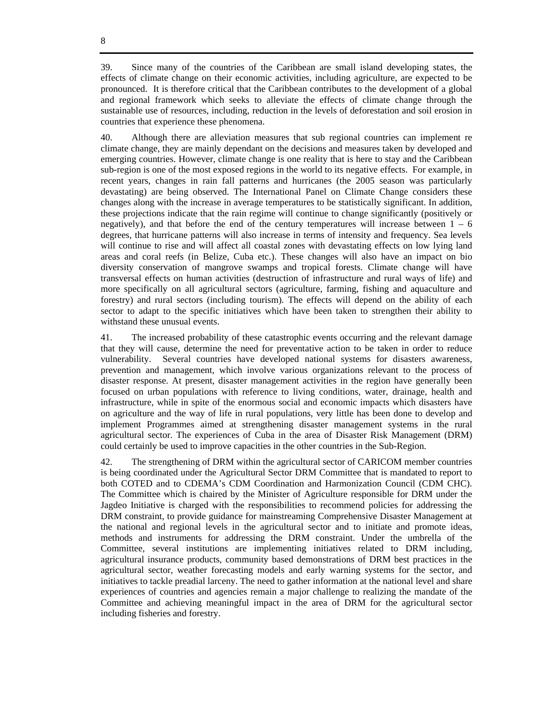39. Since many of the countries of the Caribbean are small island developing states, the effects of climate change on their economic activities, including agriculture, are expected to be pronounced. It is therefore critical that the Caribbean contributes to the development of a global and regional framework which seeks to alleviate the effects of climate change through the sustainable use of resources, including, reduction in the levels of deforestation and soil erosion in countries that experience these phenomena.

40. Although there are alleviation measures that sub regional countries can implement re climate change, they are mainly dependant on the decisions and measures taken by developed and emerging countries. However, climate change is one reality that is here to stay and the Caribbean sub-region is one of the most exposed regions in the world to its negative effects. For example, in recent years, changes in rain fall patterns and hurricanes (the 2005 season was particularly devastating) are being observed. The International Panel on Climate Change considers these changes along with the increase in average temperatures to be statistically significant. In addition, these projections indicate that the rain regime will continue to change significantly (positively or negatively), and that before the end of the century temperatures will increase between  $1 - 6$ degrees, that hurricane patterns will also increase in terms of intensity and frequency. Sea levels will continue to rise and will affect all coastal zones with devastating effects on low lying land areas and coral reefs (in Belize, Cuba etc.). These changes will also have an impact on bio diversity conservation of mangrove swamps and tropical forests. Climate change will have transversal effects on human activities (destruction of infrastructure and rural ways of life) and more specifically on all agricultural sectors (agriculture, farming, fishing and aquaculture and forestry) and rural sectors (including tourism). The effects will depend on the ability of each sector to adapt to the specific initiatives which have been taken to strengthen their ability to withstand these unusual events.

41. The increased probability of these catastrophic events occurring and the relevant damage that they will cause, determine the need for preventative action to be taken in order to reduce vulnerability. Several countries have developed national systems for disasters awareness, prevention and management, which involve various organizations relevant to the process of disaster response. At present, disaster management activities in the region have generally been focused on urban populations with reference to living conditions, water, drainage, health and infrastructure, while in spite of the enormous social and economic impacts which disasters have on agriculture and the way of life in rural populations, very little has been done to develop and implement Programmes aimed at strengthening disaster management systems in the rural agricultural sector. The experiences of Cuba in the area of Disaster Risk Management (DRM) could certainly be used to improve capacities in the other countries in the Sub-Region.

42. The strengthening of DRM within the agricultural sector of CARICOM member countries is being coordinated under the Agricultural Sector DRM Committee that is mandated to report to both COTED and to CDEMA's CDM Coordination and Harmonization Council (CDM CHC). The Committee which is chaired by the Minister of Agriculture responsible for DRM under the Jagdeo Initiative is charged with the responsibilities to recommend policies for addressing the DRM constraint, to provide guidance for mainstreaming Comprehensive Disaster Management at the national and regional levels in the agricultural sector and to initiate and promote ideas, methods and instruments for addressing the DRM constraint. Under the umbrella of the Committee, several institutions are implementing initiatives related to DRM including, agricultural insurance products, community based demonstrations of DRM best practices in the agricultural sector, weather forecasting models and early warning systems for the sector, and initiatives to tackle preadial larceny. The need to gather information at the national level and share experiences of countries and agencies remain a major challenge to realizing the mandate of the Committee and achieving meaningful impact in the area of DRM for the agricultural sector including fisheries and forestry.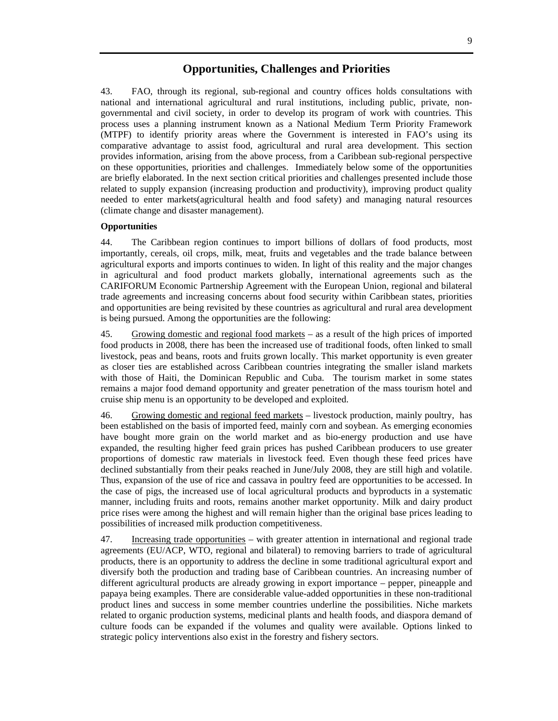# **Opportunities, Challenges and Priorities**

43. FAO, through its regional, sub-regional and country offices holds consultations with national and international agricultural and rural institutions, including public, private, nongovernmental and civil society, in order to develop its program of work with countries. This process uses a planning instrument known as a National Medium Term Priority Framework (MTPF) to identify priority areas where the Government is interested in FAO's using its comparative advantage to assist food, agricultural and rural area development. This section provides information, arising from the above process, from a Caribbean sub-regional perspective on these opportunities, priorities and challenges. Immediately below some of the opportunities are briefly elaborated. In the next section critical priorities and challenges presented include those related to supply expansion (increasing production and productivity), improving product quality needed to enter markets(agricultural health and food safety) and managing natural resources (climate change and disaster management).

## **Opportunities**

44. The Caribbean region continues to import billions of dollars of food products, most importantly, cereals, oil crops, milk, meat, fruits and vegetables and the trade balance between agricultural exports and imports continues to widen. In light of this reality and the major changes in agricultural and food product markets globally, international agreements such as the CARIFORUM Economic Partnership Agreement with the European Union, regional and bilateral trade agreements and increasing concerns about food security within Caribbean states, priorities and opportunities are being revisited by these countries as agricultural and rural area development is being pursued. Among the opportunities are the following:

45. Growing domestic and regional food markets – as a result of the high prices of imported food products in 2008, there has been the increased use of traditional foods, often linked to small livestock, peas and beans, roots and fruits grown locally. This market opportunity is even greater as closer ties are established across Caribbean countries integrating the smaller island markets with those of Haiti, the Dominican Republic and Cuba. The tourism market in some states remains a major food demand opportunity and greater penetration of the mass tourism hotel and cruise ship menu is an opportunity to be developed and exploited.

46. Growing domestic and regional feed markets – livestock production, mainly poultry, has been established on the basis of imported feed, mainly corn and soybean. As emerging economies have bought more grain on the world market and as bio-energy production and use have expanded, the resulting higher feed grain prices has pushed Caribbean producers to use greater proportions of domestic raw materials in livestock feed. Even though these feed prices have declined substantially from their peaks reached in June/July 2008, they are still high and volatile. Thus, expansion of the use of rice and cassava in poultry feed are opportunities to be accessed. In the case of pigs, the increased use of local agricultural products and byproducts in a systematic manner, including fruits and roots, remains another market opportunity. Milk and dairy product price rises were among the highest and will remain higher than the original base prices leading to possibilities of increased milk production competitiveness.

47. Increasing trade opportunities – with greater attention in international and regional trade agreements (EU/ACP, WTO, regional and bilateral) to removing barriers to trade of agricultural products, there is an opportunity to address the decline in some traditional agricultural export and diversify both the production and trading base of Caribbean countries. An increasing number of different agricultural products are already growing in export importance – pepper, pineapple and papaya being examples. There are considerable value-added opportunities in these non-traditional product lines and success in some member countries underline the possibilities. Niche markets related to organic production systems, medicinal plants and health foods, and diaspora demand of culture foods can be expanded if the volumes and quality were available. Options linked to strategic policy interventions also exist in the forestry and fishery sectors.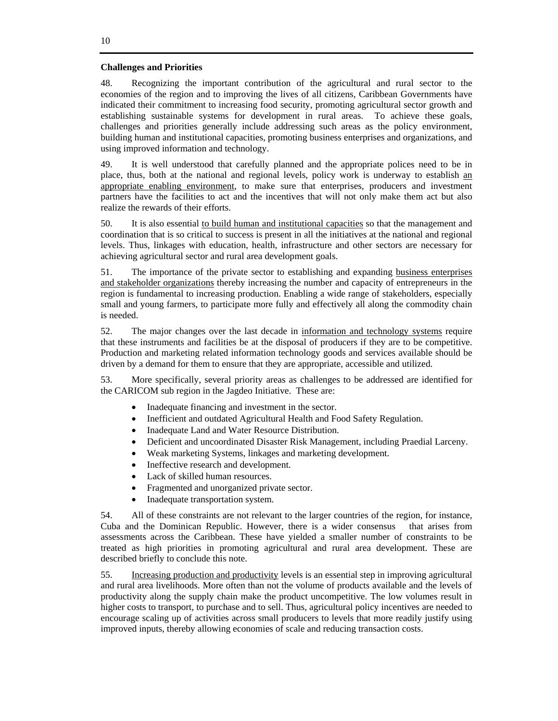### **Challenges and Priorities**

48. Recognizing the important contribution of the agricultural and rural sector to the economies of the region and to improving the lives of all citizens, Caribbean Governments have indicated their commitment to increasing food security, promoting agricultural sector growth and establishing sustainable systems for development in rural areas. To achieve these goals, challenges and priorities generally include addressing such areas as the policy environment, building human and institutional capacities, promoting business enterprises and organizations, and using improved information and technology.

49. It is well understood that carefully planned and the appropriate polices need to be in place, thus, both at the national and regional levels, policy work is underway to establish an appropriate enabling environment, to make sure that enterprises, producers and investment partners have the facilities to act and the incentives that will not only make them act but also realize the rewards of their efforts.

50. It is also essential to build human and institutional capacities so that the management and coordination that is so critical to success is present in all the initiatives at the national and regional levels. Thus, linkages with education, health, infrastructure and other sectors are necessary for achieving agricultural sector and rural area development goals.

51. The importance of the private sector to establishing and expanding business enterprises and stakeholder organizations thereby increasing the number and capacity of entrepreneurs in the region is fundamental to increasing production. Enabling a wide range of stakeholders, especially small and young farmers, to participate more fully and effectively all along the commodity chain is needed.

52. The major changes over the last decade in information and technology systems require that these instruments and facilities be at the disposal of producers if they are to be competitive. Production and marketing related information technology goods and services available should be driven by a demand for them to ensure that they are appropriate, accessible and utilized.

53. More specifically, several priority areas as challenges to be addressed are identified for the CARICOM sub region in the Jagdeo Initiative. These are:

- Inadequate financing and investment in the sector.
- Inefficient and outdated Agricultural Health and Food Safety Regulation.
- Inadequate Land and Water Resource Distribution.
- Deficient and uncoordinated Disaster Risk Management, including Praedial Larceny.
- Weak marketing Systems, linkages and marketing development.
- Ineffective research and development.
- Lack of skilled human resources.
- Fragmented and unorganized private sector.
- Inadequate transportation system.

54. All of these constraints are not relevant to the larger countries of the region, for instance, Cuba and the Dominican Republic. However, there is a wider consensus that arises from assessments across the Caribbean. These have yielded a smaller number of constraints to be treated as high priorities in promoting agricultural and rural area development. These are described briefly to conclude this note.

55. Increasing production and productivity levels is an essential step in improving agricultural and rural area livelihoods. More often than not the volume of products available and the levels of productivity along the supply chain make the product uncompetitive. The low volumes result in higher costs to transport, to purchase and to sell. Thus, agricultural policy incentives are needed to encourage scaling up of activities across small producers to levels that more readily justify using improved inputs, thereby allowing economies of scale and reducing transaction costs.